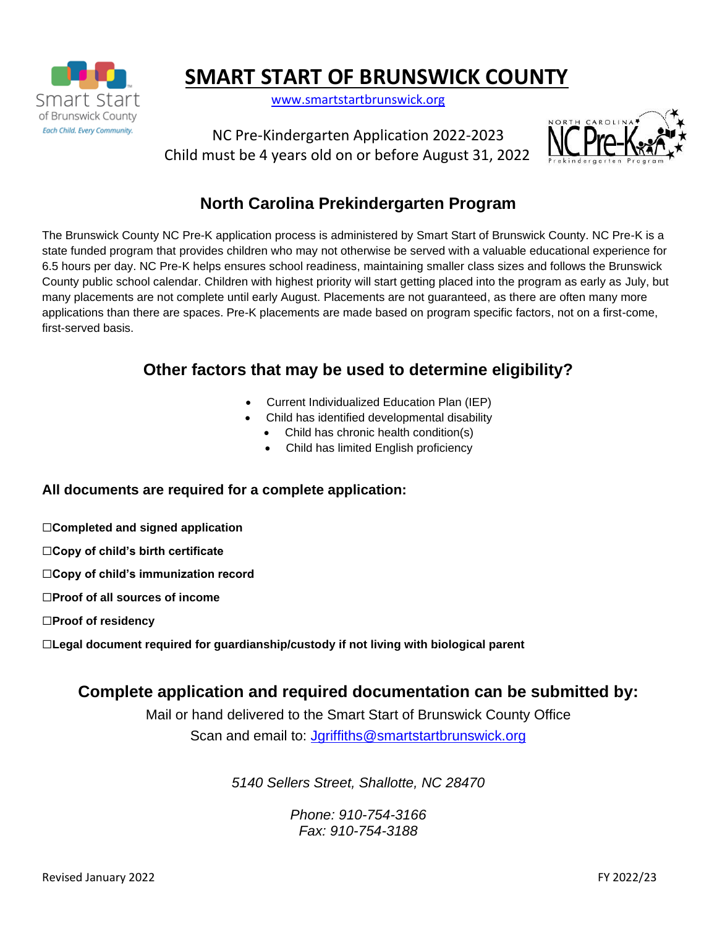

# **SMART START OF BRUNSWICK COUNTY**

[www.smartstartbrunswick.org](http://www.smartstartbrunswick.org/)

NC Pre-Kindergarten Application 2022-2023 Child must be 4 years old on or before August 31, 2022



# **North Carolina Prekindergarten Program**

The Brunswick County NC Pre-K application process is administered by Smart Start of Brunswick County. NC Pre-K is a state funded program that provides children who may not otherwise be served with a valuable educational experience for 6.5 hours per day. NC Pre-K helps ensures school readiness, maintaining smaller class sizes and follows the Brunswick County public school calendar. Children with highest priority will start getting placed into the program as early as July, but many placements are not complete until early August. Placements are not guaranteed, as there are often many more applications than there are spaces. Pre-K placements are made based on program specific factors, not on a first-come, first-served basis.

## **Other factors that may be used to determine eligibility?**

- Current Individualized Education Plan (IEP)
- Child has identified developmental disability
	- Child has chronic health condition(s)
	- Child has limited English proficiency

#### **All documents are required for a complete application:**

- ☐**Completed and signed application**
- ☐**Copy of child's birth certificate**
- ☐**Copy of child's immunization record**
- ☐**Proof of all sources of income**
- ☐**Proof of residency**
- ☐**Legal document required for guardianship/custody if not living with biological parent**

## **Complete application and required documentation can be submitted by:**

Mail or hand delivered to the Smart Start of Brunswick County Office Scan and email to: [Jgriffiths@smartstartbrunswick.org](mailto:Jgriffiths@smartstartbrunswick.org)

*5140 Sellers Street, Shallotte, NC 28470*

*Phone: 910-754-3166 Fax: 910-754-3188*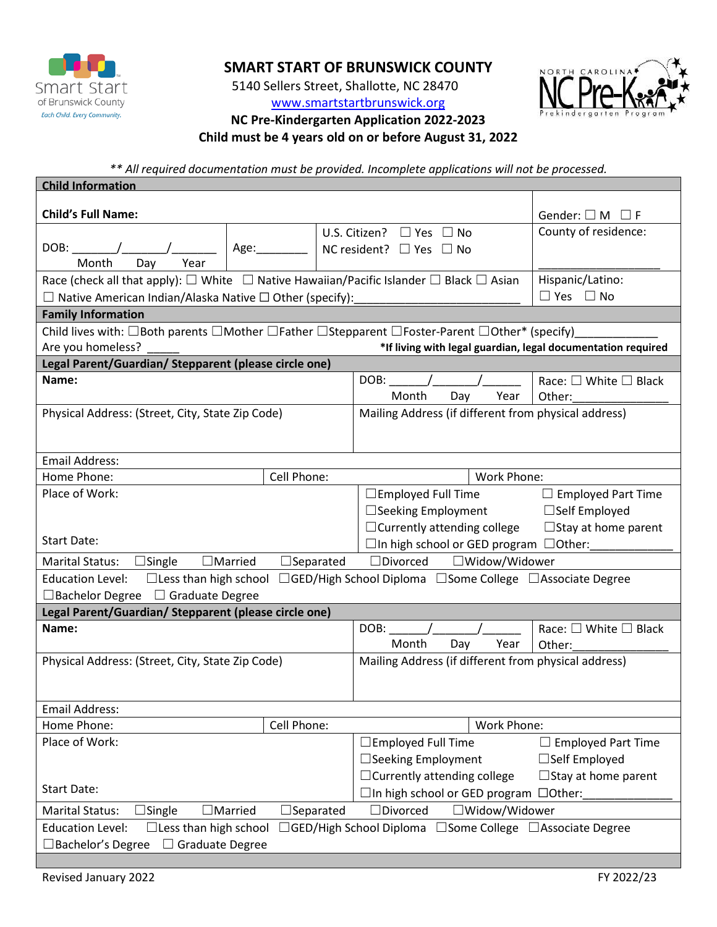

## **SMART START OF BRUNSWICK COUNTY**

5140 Sellers Street, Shallotte, NC 28470

#### [www.smartstartbrunswick.org](http://www.smartstartbrunswick.org/) **NC Pre-Kindergarten Application 2022-2023**

**Child must be 4 years old on or before August 31, 2022**

*\*\* All required documentation must be provided. Incomplete applications will not be processed.*

| <b>Child Information</b>                                                                                                                                                                                      |  |                                                      |                                       |  |  |  |
|---------------------------------------------------------------------------------------------------------------------------------------------------------------------------------------------------------------|--|------------------------------------------------------|---------------------------------------|--|--|--|
| <b>Child's Full Name:</b>                                                                                                                                                                                     |  |                                                      | Gender: $\square$ M $\square$ F       |  |  |  |
|                                                                                                                                                                                                               |  | U.S. Citizen? $\Box$ Yes $\Box$ No                   | County of residence:                  |  |  |  |
| $DOB:$ $\qquad \qquad$                                                                                                                                                                                        |  | NC resident? $\Box$ Yes $\Box$ No                    |                                       |  |  |  |
| Month<br>Day<br>Year                                                                                                                                                                                          |  |                                                      |                                       |  |  |  |
| Race (check all that apply): $\square$ White $\;\square\;$ Native Hawaiian/Pacific Islander $\square$ Black $\square$ Asian                                                                                   |  |                                                      | Hispanic/Latino:                      |  |  |  |
| $\Box$ Native American Indian/Alaska Native $\Box$ Other (specify):                                                                                                                                           |  |                                                      | $\Box$ Yes $\Box$ No                  |  |  |  |
| <b>Family Information</b>                                                                                                                                                                                     |  |                                                      |                                       |  |  |  |
| Child lives with: $\Box$ Both parents $\Box$ Mother $\Box$ Father $\Box$ Stepparent $\Box$ Foster-Parent $\Box$ Other* (specify)                                                                              |  |                                                      |                                       |  |  |  |
| Are you homeless?<br>*If living with legal guardian, legal documentation required                                                                                                                             |  |                                                      |                                       |  |  |  |
| Legal Parent/Guardian/ Stepparent (please circle one)                                                                                                                                                         |  |                                                      |                                       |  |  |  |
| Name:                                                                                                                                                                                                         |  | DOB:                                                 | Race: $\square$ White $\square$ Black |  |  |  |
|                                                                                                                                                                                                               |  | Year<br>Month<br>Day                                 | Other:                                |  |  |  |
| Physical Address: (Street, City, State Zip Code)                                                                                                                                                              |  | Mailing Address (if different from physical address) |                                       |  |  |  |
|                                                                                                                                                                                                               |  |                                                      |                                       |  |  |  |
|                                                                                                                                                                                                               |  |                                                      |                                       |  |  |  |
| <b>Email Address:</b>                                                                                                                                                                                         |  |                                                      |                                       |  |  |  |
| Cell Phone:<br>Home Phone:                                                                                                                                                                                    |  | Work Phone:                                          |                                       |  |  |  |
| Place of Work:                                                                                                                                                                                                |  | $\Box$ Employed Full Time                            | $\Box$ Employed Part Time             |  |  |  |
|                                                                                                                                                                                                               |  | $\Box$ Seeking Employment                            | $\Box$ Self Employed                  |  |  |  |
|                                                                                                                                                                                                               |  | $\Box$ Currently attending college                   | $\Box$ Stay at home parent            |  |  |  |
| <b>Start Date:</b>                                                                                                                                                                                            |  | $\Box$ In high school or GED program $\Box$ Other:   |                                       |  |  |  |
| $\Box$ Married<br>$\Box$ Single<br>$\Box$ Separated<br>Marital Status:                                                                                                                                        |  | $\Box$ Divorced<br>□Widow/Widower                    |                                       |  |  |  |
| □Less than high school □GED/High School Diploma □Some College □Associate Degree<br><b>Education Level:</b>                                                                                                    |  |                                                      |                                       |  |  |  |
| □ Bachelor Degree □ Graduate Degree                                                                                                                                                                           |  |                                                      |                                       |  |  |  |
| Legal Parent/Guardian/ Stepparent (please circle one)                                                                                                                                                         |  |                                                      |                                       |  |  |  |
| Name:                                                                                                                                                                                                         |  | DOB: $/$ /                                           | Race: $\square$ White $\square$ Black |  |  |  |
|                                                                                                                                                                                                               |  | Year<br>Month<br>Day                                 | Other:                                |  |  |  |
| Physical Address: (Street, City, State Zip Code)                                                                                                                                                              |  | Mailing Address (if different from physical address) |                                       |  |  |  |
|                                                                                                                                                                                                               |  |                                                      |                                       |  |  |  |
| <b>Email Address:</b>                                                                                                                                                                                         |  |                                                      |                                       |  |  |  |
| Cell Phone:<br>Home Phone:                                                                                                                                                                                    |  | Work Phone:                                          |                                       |  |  |  |
| Place of Work:                                                                                                                                                                                                |  |                                                      |                                       |  |  |  |
|                                                                                                                                                                                                               |  | $\Box$ Employed Full Time<br>□Seeking Employment     | $\Box$ Employed Part Time             |  |  |  |
|                                                                                                                                                                                                               |  |                                                      | □Self Employed                        |  |  |  |
| <b>Start Date:</b>                                                                                                                                                                                            |  | $\Box$ Currently attending college                   | $\Box$ Stay at home parent            |  |  |  |
|                                                                                                                                                                                                               |  | □In high school or GED program □Other:               |                                       |  |  |  |
| $\Box$ Divorced<br>$\Box$ Married<br>$\Box$ Separated<br>□Widow/Widower<br>Marital Status:<br>$\Box$ Single                                                                                                   |  |                                                      |                                       |  |  |  |
| <b>Education Level:</b><br>$\Box$ Less than high school<br>$\Box$ GED/High School Diploma<br>$\Box$ Some College $\Box$ Associate Degree<br>□Bachelor's Degree<br>Graduate Degree<br>$\overline{\phantom{0}}$ |  |                                                      |                                       |  |  |  |
|                                                                                                                                                                                                               |  |                                                      |                                       |  |  |  |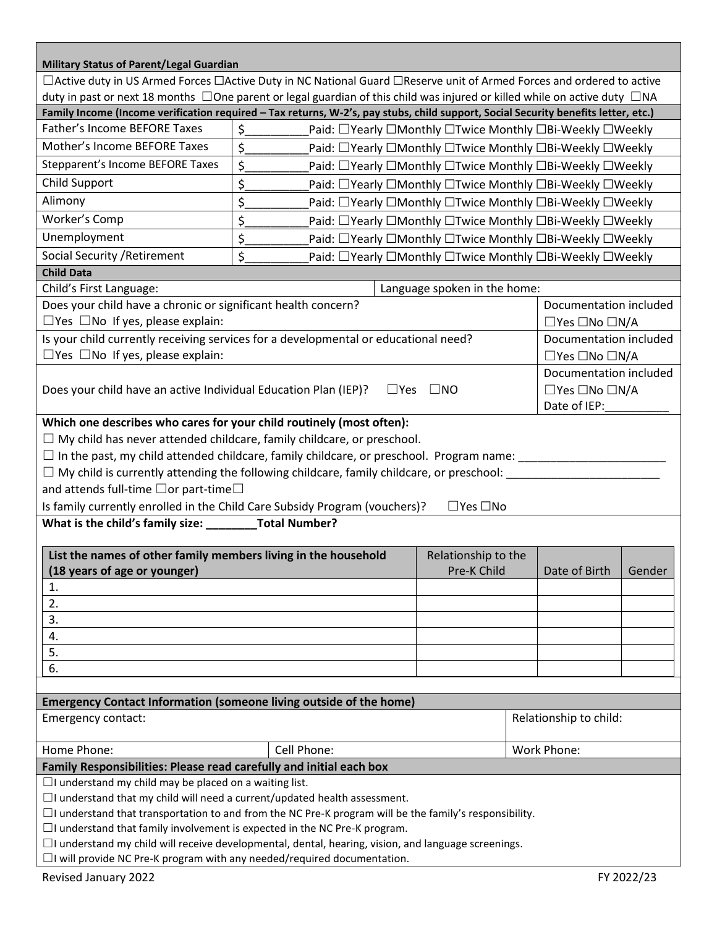| <b>Military Status of Parent/Legal Guardian</b>                                                                                                                                                   |                                                                                                            |                                                          |  |                                 |              |  |  |
|---------------------------------------------------------------------------------------------------------------------------------------------------------------------------------------------------|------------------------------------------------------------------------------------------------------------|----------------------------------------------------------|--|---------------------------------|--------------|--|--|
| □Active duty in US Armed Forces □Active Duty in NC National Guard □Reserve unit of Armed Forces and ordered to active                                                                             |                                                                                                            |                                                          |  |                                 |              |  |  |
| duty in past or next 18 months $\Box$ One parent or legal guardian of this child was injured or killed while on active duty $\Box$ NA                                                             |                                                                                                            |                                                          |  |                                 |              |  |  |
| Family Income (Income verification required - Tax returns, W-2's, pay stubs, child support, Social Security benefits letter, etc.)                                                                |                                                                                                            |                                                          |  |                                 |              |  |  |
| Father's Income BEFORE Taxes                                                                                                                                                                      | \$.<br>Paid: □Yearly □Monthly □Twice Monthly □Bi-Weekly □Weekly                                            |                                                          |  |                                 |              |  |  |
| Mother's Income BEFORE Taxes                                                                                                                                                                      | \$                                                                                                         | Paid: □Yearly □Monthly □Twice Monthly □Bi-Weekly □Weekly |  |                                 |              |  |  |
| Stepparent's Income BEFORE Taxes                                                                                                                                                                  | \$.<br>Paid: □Yearly □Monthly □Twice Monthly □Bi-Weekly □Weekly                                            |                                                          |  |                                 |              |  |  |
| <b>Child Support</b>                                                                                                                                                                              | \$<br>Paid: □ Yearly □ Monthly □ Twice Monthly □Bi-Weekly □ Weekly                                         |                                                          |  |                                 |              |  |  |
| Alimony                                                                                                                                                                                           | \$<br>Paid: □Yearly □Monthly □Twice Monthly □Bi-Weekly □Weekly                                             |                                                          |  |                                 |              |  |  |
| Worker's Comp                                                                                                                                                                                     | \$<br>Paid: □Yearly □Monthly □Twice Monthly □Bi-Weekly □Weekly                                             |                                                          |  |                                 |              |  |  |
| Unemployment                                                                                                                                                                                      | \$<br>Paid: □Yearly □Monthly □Twice Monthly □Bi-Weekly □Weekly                                             |                                                          |  |                                 |              |  |  |
| Social Security / Retirement                                                                                                                                                                      | \$<br>Paid: □Yearly □Monthly □Twice Monthly □Bi-Weekly □Weekly                                             |                                                          |  |                                 |              |  |  |
| <b>Child Data</b>                                                                                                                                                                                 |                                                                                                            |                                                          |  |                                 |              |  |  |
| Child's First Language:                                                                                                                                                                           |                                                                                                            | Language spoken in the home:                             |  |                                 |              |  |  |
| Does your child have a chronic or significant health concern?                                                                                                                                     |                                                                                                            |                                                          |  | Documentation included          |              |  |  |
| $\Box$ Yes $\Box$ No If yes, please explain:                                                                                                                                                      |                                                                                                            |                                                          |  | □Yes □No □N/A                   |              |  |  |
| Is your child currently receiving services for a developmental or educational need?                                                                                                               |                                                                                                            |                                                          |  | Documentation included          |              |  |  |
| $\Box$ Yes $\Box$ No If yes, please explain:                                                                                                                                                      |                                                                                                            |                                                          |  | $\Box$ Yes $\Box$ No $\Box$ N/A |              |  |  |
| Documentation included                                                                                                                                                                            |                                                                                                            |                                                          |  |                                 |              |  |  |
| Does your child have an active Individual Education Plan (IEP)?<br>$\square$ Yes<br>$\square$ NO                                                                                                  |                                                                                                            |                                                          |  | $\Box$ Yes $\Box$ No $\Box$ N/A |              |  |  |
|                                                                                                                                                                                                   |                                                                                                            |                                                          |  |                                 | Date of IEP: |  |  |
| Which one describes who cares for your child routinely (most often):                                                                                                                              |                                                                                                            |                                                          |  |                                 |              |  |  |
| $\Box$ My child has never attended childcare, family childcare, or preschool.                                                                                                                     |                                                                                                            |                                                          |  |                                 |              |  |  |
| $\square$ In the past, my child attended childcare, family childcare, or preschool. Program name:                                                                                                 |                                                                                                            |                                                          |  |                                 |              |  |  |
| $\Box$ My child is currently attending the following childcare, family childcare, or preschool: $\Box$                                                                                            |                                                                                                            |                                                          |  |                                 |              |  |  |
| and attends full-time $\Box$ or part-time $\Box$                                                                                                                                                  |                                                                                                            |                                                          |  |                                 |              |  |  |
| Is family currently enrolled in the Child Care Subsidy Program (vouchers)?<br>$\Box$ Yes $\Box$ No                                                                                                |                                                                                                            |                                                          |  |                                 |              |  |  |
| What is the child's family size: __________ Total Number?                                                                                                                                         |                                                                                                            |                                                          |  |                                 |              |  |  |
| List the names of other family members living in the household                                                                                                                                    |                                                                                                            | Relationship to the                                      |  |                                 |              |  |  |
| (18 years of age or younger)                                                                                                                                                                      |                                                                                                            | Pre-K Child                                              |  | Date of Birth                   | Gender       |  |  |
| 1.                                                                                                                                                                                                |                                                                                                            |                                                          |  |                                 |              |  |  |
| 2.                                                                                                                                                                                                |                                                                                                            |                                                          |  |                                 |              |  |  |
| 3.                                                                                                                                                                                                |                                                                                                            |                                                          |  |                                 |              |  |  |
| 4.                                                                                                                                                                                                |                                                                                                            |                                                          |  |                                 |              |  |  |
| 5.                                                                                                                                                                                                |                                                                                                            |                                                          |  |                                 |              |  |  |
| 6.                                                                                                                                                                                                |                                                                                                            |                                                          |  |                                 |              |  |  |
|                                                                                                                                                                                                   |                                                                                                            |                                                          |  |                                 |              |  |  |
| <b>Emergency Contact Information (someone living outside of the home)</b>                                                                                                                         |                                                                                                            |                                                          |  |                                 |              |  |  |
| Emergency contact:                                                                                                                                                                                | Relationship to child:                                                                                     |                                                          |  |                                 |              |  |  |
| Home Phone:                                                                                                                                                                                       | Cell Phone:                                                                                                |                                                          |  | Work Phone:                     |              |  |  |
| Family Responsibilities: Please read carefully and initial each box                                                                                                                               |                                                                                                            |                                                          |  |                                 |              |  |  |
| $\Box$ I understand my child may be placed on a waiting list.                                                                                                                                     |                                                                                                            |                                                          |  |                                 |              |  |  |
| $\Box$ I understand that my child will need a current/updated health assessment.<br>$\Box$ I understand that transportation to and from the NC Pre-K program will be the family's responsibility. |                                                                                                            |                                                          |  |                                 |              |  |  |
| $\Box$ I understand that family involvement is expected in the NC Pre-K program.                                                                                                                  |                                                                                                            |                                                          |  |                                 |              |  |  |
|                                                                                                                                                                                                   | $\Box$ I understand my child will receive developmental, dental, hearing, vision, and language screenings. |                                                          |  |                                 |              |  |  |
| $\Box$ I will provide NC Pre-K program with any needed/required documentation.                                                                                                                    |                                                                                                            |                                                          |  |                                 |              |  |  |
| FY 2022/23<br>Revised January 2022                                                                                                                                                                |                                                                                                            |                                                          |  |                                 |              |  |  |